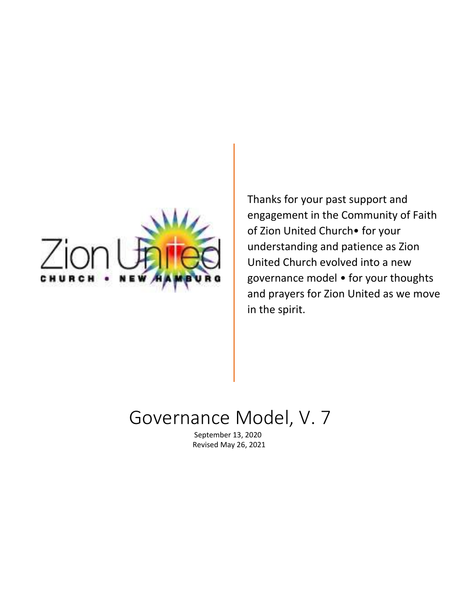

Thanks for your past support and engagement in the Community of Faith of Zion United Church• for your understanding and patience as Zion United Church evolved into a new governance model • for your thoughts and prayers for Zion United as we move in the spirit.

# Governance Model, V. 7

September 13, 2020 Revised May 26, 2021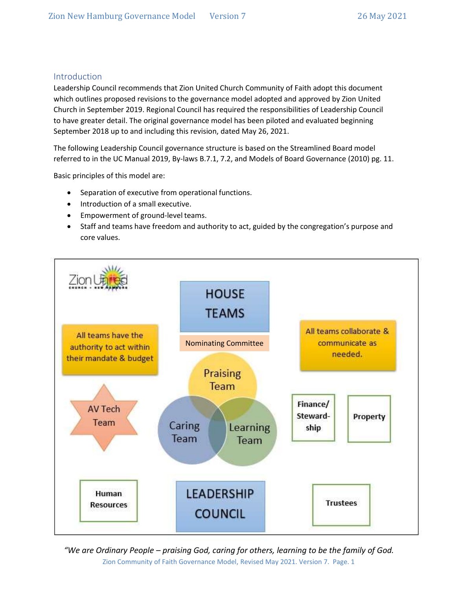### Introduction

Leadership Council recommends that Zion United Church Community of Faith adopt this document which outlines proposed revisions to the governance model adopted and approved by Zion United Church in September 2019. Regional Council has required the responsibilities of Leadership Council to have greater detail. The original governance model has been piloted and evaluated beginning September 2018 up to and including this revision, dated May 26, 2021.

The following Leadership Council governance structure is based on the Streamlined Board model referred to in the UC Manual 2019, By-laws B.7.1, 7.2, and Models of Board Governance (2010) pg. 11.

Basic principles of this model are:

- Separation of executive from operational functions.
- Introduction of a small executive.
- Empowerment of ground-level teams.
- Staff and teams have freedom and authority to act, guided by the congregation's purpose and core values.

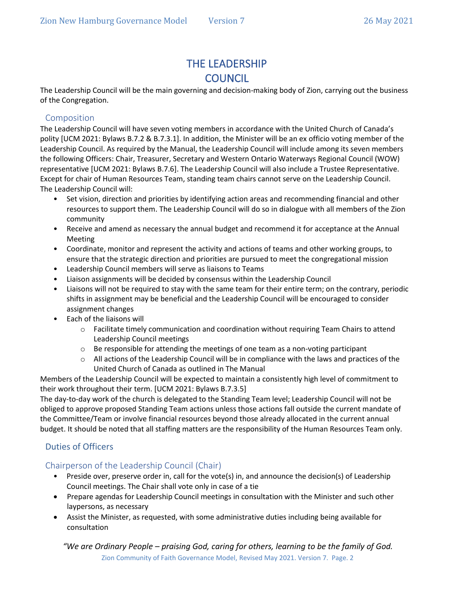# THE LEADERSHIP **COUNCIL**

The Leadership Council will be the main governing and decision-making body of Zion, carrying out the business of the Congregation.

### Composition

The Leadership Council will have seven voting members in accordance with the United Church of Canada's polity [UCM 2021: Bylaws B.7.2 & B.7.3.1]. In addition, the Minister will be an ex officio voting member of the Leadership Council. As required by the Manual, the Leadership Council will include among its seven members the following Officers: Chair, Treasurer, Secretary and Western Ontario Waterways Regional Council (WOW) representative [UCM 2021: Bylaws B.7.6]. The Leadership Council will also include a Trustee Representative. Except for chair of Human Resources Team, standing team chairs cannot serve on the Leadership Council. The Leadership Council will:

- Set vision, direction and priorities by identifying action areas and recommending financial and other resources to support them. The Leadership Council will do so in dialogue with all members of the Zion community
- Receive and amend as necessary the annual budget and recommend it for acceptance at the Annual Meeting
- Coordinate, monitor and represent the activity and actions of teams and other working groups, to ensure that the strategic direction and priorities are pursued to meet the congregational mission
- Leadership Council members will serve as liaisons to Teams
- Liaison assignments will be decided by consensus within the Leadership Council
- Liaisons will not be required to stay with the same team for their entire term; on the contrary, periodic shifts in assignment may be beneficial and the Leadership Council will be encouraged to consider assignment changes
- Each of the liaisons will
	- o Facilitate timely communication and coordination without requiring Team Chairs to attend Leadership Council meetings
	- $\circ$  Be responsible for attending the meetings of one team as a non-voting participant
	- $\circ$  All actions of the Leadership Council will be in compliance with the laws and practices of the United Church of Canada as outlined in The Manual

Members of the Leadership Council will be expected to maintain a consistently high level of commitment to their work throughout their term. [UCM 2021: Bylaws B.7.3.5]

The day-to-day work of the church is delegated to the Standing Team level; Leadership Council will not be obliged to approve proposed Standing Team actions unless those actions fall outside the current mandate of the Committee/Team or involve financial resources beyond those already allocated in the current annual budget. It should be noted that all staffing matters are the responsibility of the Human Resources Team only.

# Duties of Officers

### Chairperson of the Leadership Council (Chair)

- Preside over, preserve order in, call for the vote(s) in, and announce the decision(s) of Leadership Council meetings. The Chair shall vote only in case of a tie
- Prepare agendas for Leadership Council meetings in consultation with the Minister and such other laypersons, as necessary
- Assist the Minister, as requested, with some administrative duties including being available for consultation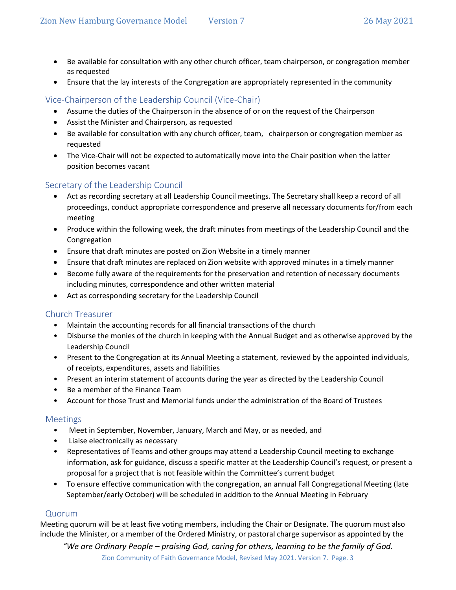- Be available for consultation with any other church officer, team chairperson, or congregation member as requested
- Ensure that the lay interests of the Congregation are appropriately represented in the community

# Vice-Chairperson of the Leadership Council (Vice-Chair)

- Assume the duties of the Chairperson in the absence of or on the request of the Chairperson
- Assist the Minister and Chairperson, as requested
- Be available for consultation with any church officer, team, chairperson or congregation member as requested
- The Vice-Chair will not be expected to automatically move into the Chair position when the latter position becomes vacant

### Secretary of the Leadership Council

- Act as recording secretary at all Leadership Council meetings. The Secretary shall keep a record of all proceedings, conduct appropriate correspondence and preserve all necessary documents for/from each meeting
- Produce within the following week, the draft minutes from meetings of the Leadership Council and the Congregation
- Ensure that draft minutes are posted on Zion Website in a timely manner
- Ensure that draft minutes are replaced on Zion website with approved minutes in a timely manner
- Become fully aware of the requirements for the preservation and retention of necessary documents including minutes, correspondence and other written material
- Act as corresponding secretary for the Leadership Council

#### Church Treasurer

- Maintain the accounting records for all financial transactions of the church
- Disburse the monies of the church in keeping with the Annual Budget and as otherwise approved by the Leadership Council
- Present to the Congregation at its Annual Meeting a statement, reviewed by the appointed individuals, of receipts, expenditures, assets and liabilities
- Present an interim statement of accounts during the year as directed by the Leadership Council
- Be a member of the Finance Team
- Account for those Trust and Memorial funds under the administration of the Board of Trustees

#### Meetings

- Meet in September, November, January, March and May, or as needed, and
- Liaise electronically as necessary
- Representatives of Teams and other groups may attend a Leadership Council meeting to exchange information, ask for guidance, discuss a specific matter at the Leadership Council's request, or present a proposal for a project that is not feasible within the Committee's current budget
- To ensure effective communication with the congregation, an annual Fall Congregational Meeting (late September/early October) will be scheduled in addition to the Annual Meeting in February

#### Quorum

Meeting quorum will be at least five voting members, including the Chair or Designate. The quorum must also include the Minister, or a member of the Ordered Ministry, or pastoral charge supervisor as appointed by the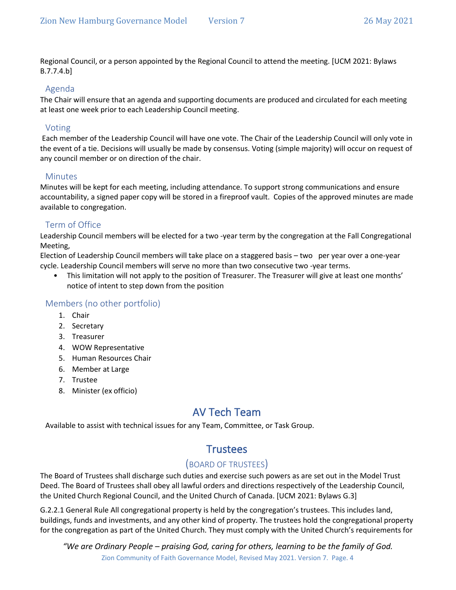Regional Council, or a person appointed by the Regional Council to attend the meeting. [UCM 2021: Bylaws B.7.7.4.b]

#### Agenda

The Chair will ensure that an agenda and supporting documents are produced and circulated for each meeting at least one week prior to each Leadership Council meeting.

### Voting

Each member of the Leadership Council will have one vote. The Chair of the Leadership Council will only vote in the event of a tie. Decisions will usually be made by consensus. Voting (simple majority) will occur on request of any council member or on direction of the chair.

### **Minutes**

Minutes will be kept for each meeting, including attendance. To support strong communications and ensure accountability, a signed paper copy will be stored in a fireproof vault. Copies of the approved minutes are made available to congregation.

# Term of Office

Leadership Council members will be elected for a two -year term by the congregation at the Fall Congregational Meeting,

Election of Leadership Council members will take place on a staggered basis – two per year over a one-year cycle. Leadership Council members will serve no more than two consecutive two -year terms.

• This limitation will not apply to the position of Treasurer. The Treasurer will give at least one months' notice of intent to step down from the position

### Members (no other portfolio)

- 1. Chair
- 2. Secretary
- 3. Treasurer
- 4. WOW Representative
- 5. Human Resources Chair
- 6. Member at Large
- 7. Trustee
- 8. Minister (ex officio)

# AV Tech Team

Available to assist with technical issues for any Team, Committee, or Task Group.

# **Trustees**

# (BOARD OF TRUSTEES)

The Board of Trustees shall discharge such duties and exercise such powers as are set out in the Model Trust Deed. The Board of Trustees shall obey all lawful orders and directions respectively of the Leadership Council, the United Church Regional Council, and the United Church of Canada. [UCM 2021: Bylaws G.3]

G.2.2.1 General Rule All congregational property is held by the congregation's trustees. This includes land, buildings, funds and investments, and any other kind of property. The trustees hold the congregational property for the congregation as part of the United Church. They must comply with the United Church's requirements for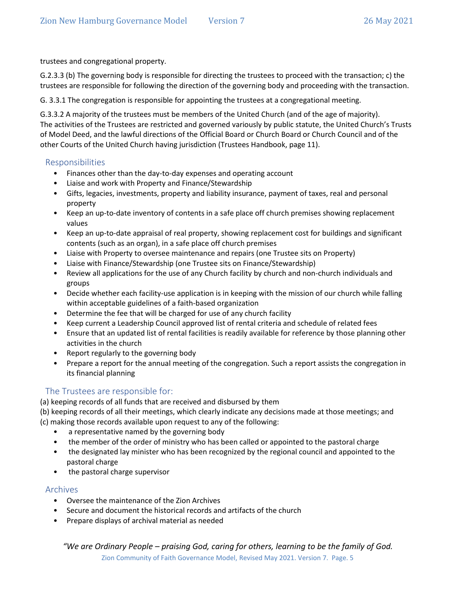trustees and congregational property.

G.2.3.3 (b) The governing body is responsible for directing the trustees to proceed with the transaction; c) the trustees are responsible for following the direction of the governing body and proceeding with the transaction.

G. 3.3.1 The congregation is responsible for appointing the trustees at a congregational meeting.

G.3.3.2 A majority of the trustees must be members of the United Church (and of the age of majority). The activities of the Trustees are restricted and governed variously by public statute, the United Church's Trusts of Model Deed, and the lawful directions of the Official Board or Church Board or Church Council and of the other Courts of the United Church having jurisdiction (Trustees Handbook, page 11).

#### Responsibilities

- Finances other than the day-to-day expenses and operating account
- Liaise and work with Property and Finance/Stewardship
- Gifts, legacies, investments, property and liability insurance, payment of taxes, real and personal property
- Keep an up-to-date inventory of contents in a safe place off church premises showing replacement values
- Keep an up-to-date appraisal of real property, showing replacement cost for buildings and significant contents (such as an organ), in a safe place off church premises
- Liaise with Property to oversee maintenance and repairs (one Trustee sits on Property)
- Liaise with Finance/Stewardship (one Trustee sits on Finance/Stewardship)
- Review all applications for the use of any Church facility by church and non-church individuals and groups
- Decide whether each facility-use application is in keeping with the mission of our church while falling within acceptable guidelines of a faith-based organization
- Determine the fee that will be charged for use of any church facility
- Keep current a Leadership Council approved list of rental criteria and schedule of related fees
- Ensure that an updated list of rental facilities is readily available for reference by those planning other activities in the church
- Report regularly to the governing body
- Prepare a report for the annual meeting of the congregation. Such a report assists the congregation in its financial planning

### The Trustees are responsible for:

(a) keeping records of all funds that are received and disbursed by them

(b) keeping records of all their meetings, which clearly indicate any decisions made at those meetings; and (c) making those records available upon request to any of the following:

- a representative named by the governing body
- the member of the order of ministry who has been called or appointed to the pastoral charge
- the designated lay minister who has been recognized by the regional council and appointed to the pastoral charge
- the pastoral charge supervisor

#### Archives

- Oversee the maintenance of the Zion Archives
- Secure and document the historical records and artifacts of the church
- Prepare displays of archival material as needed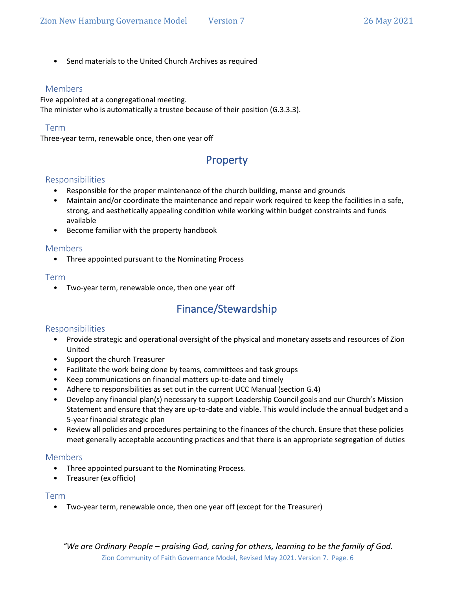• Send materials to the United Church Archives as required

#### Members

Five appointed at a congregational meeting. The minister who is automatically a trustee because of their position (G.3.3.3).

#### Term

Three-year term, renewable once, then one year off

# Property

#### Responsibilities

- Responsible for the proper maintenance of the church building, manse and grounds
- Maintain and/or coordinate the maintenance and repair work required to keep the facilities in a safe, strong, and aesthetically appealing condition while working within budget constraints and funds available
- Become familiar with the property handbook

#### Members

• Three appointed pursuant to the Nominating Process

#### Term

• Two-year term, renewable once, then one year off

# Finance/Stewardship

#### Responsibilities

- Provide strategic and operational oversight of the physical and monetary assets and resources of Zion United
- Support the church Treasurer
- Facilitate the work being done by teams, committees and task groups
- Keep communications on financial matters up-to-date and timely
- Adhere to responsibilities as set out in the current UCC Manual (section G.4)
- Develop any financial plan(s) necessary to support Leadership Council goals and our Church's Mission Statement and ensure that they are up-to-date and viable. This would include the annual budget and a 5-year financial strategic plan
- Review all policies and procedures pertaining to the finances of the church. Ensure that these policies meet generally acceptable accounting practices and that there is an appropriate segregation of duties

#### Members

- Three appointed pursuant to the Nominating Process.
- Treasurer (ex officio)

#### Term

• Two-year term, renewable once, then one year off (except for the Treasurer)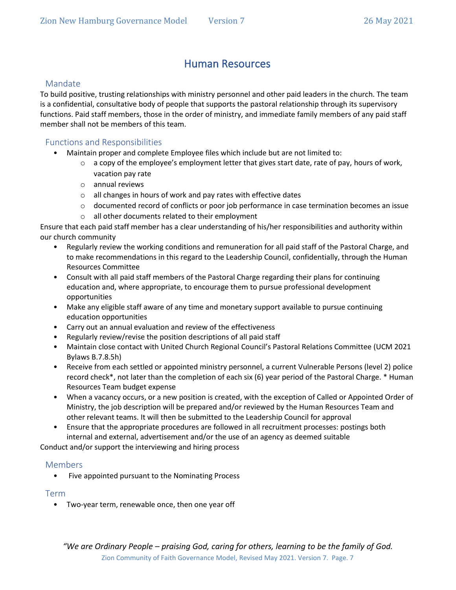# Human Resources

### Mandate

To build positive, trusting relationships with ministry personnel and other paid leaders in the church. The team is a confidential, consultative body of people that supports the pastoral relationship through its supervisory functions. Paid staff members, those in the order of ministry, and immediate family members of any paid staff member shall not be members of this team.

### Functions and Responsibilities

- Maintain proper and complete Employee files which include but are not limited to:
	- $\circ$  a copy of the employee's employment letter that gives start date, rate of pay, hours of work, vacation pay rate
	- o annual reviews
	- o all changes in hours of work and pay rates with effective dates
	- $\circ$  documented record of conflicts or poor job performance in case termination becomes an issue
	- o all other documents related to their employment

Ensure that each paid staff member has a clear understanding of his/her responsibilities and authority within our church community

- Regularly review the working conditions and remuneration for all paid staff of the Pastoral Charge, and to make recommendations in this regard to the Leadership Council, confidentially, through the Human Resources Committee
- Consult with all paid staff members of the Pastoral Charge regarding their plans for continuing education and, where appropriate, to encourage them to pursue professional development opportunities
- Make any eligible staff aware of any time and monetary support available to pursue continuing education opportunities
- Carry out an annual evaluation and review of the effectiveness
- Regularly review/revise the position descriptions of all paid staff
- Maintain close contact with United Church Regional Council's Pastoral Relations Committee (UCM 2021 Bylaws B.7.8.5h)
- Receive from each settled or appointed ministry personnel, a current Vulnerable Persons (level 2) police record check\*, not later than the completion of each six (6) year period of the Pastoral Charge. \* Human Resources Team budget expense
- When a vacancy occurs, or a new position is created, with the exception of Called or Appointed Order of Ministry, the job description will be prepared and/or reviewed by the Human Resources Team and other relevant teams. It will then be submitted to the Leadership Council for approval
- Ensure that the appropriate procedures are followed in all recruitment processes: postings both internal and external, advertisement and/or the use of an agency as deemed suitable

Conduct and/or support the interviewing and hiring process

#### Members

Five appointed pursuant to the Nominating Process

#### Term

• Two-year term, renewable once, then one year off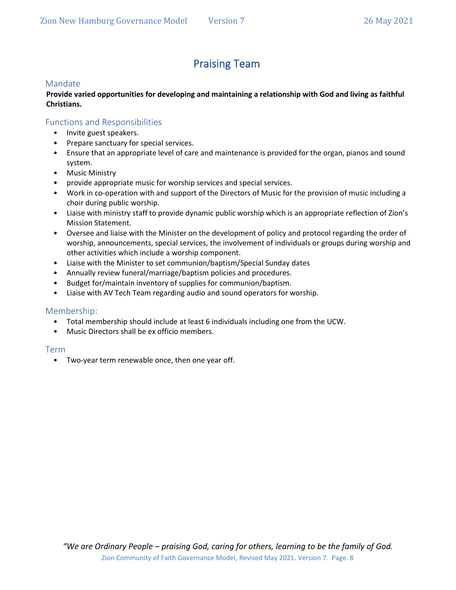# Praising Team

#### Mandate

#### **Provide varied opportunities for developing and maintaining a relationship with God and living as faithful Christians.**

#### Functions and Responsibilities

- Invite guest speakers.
- Prepare sanctuary for special services.
- Ensure that an appropriate level of care and maintenance is provided for the organ, pianos and sound system.
- Music Ministry
- provide appropriate music for worship services and special services.
- Work in co-operation with and support of the Directors of Music for the provision of music including a choir during public worship.
- Liaise with ministry staff to provide dynamic public worship which is an appropriate reflection of Zion's Mission Statement.
- Oversee and liaise with the Minister on the development of policy and protocol regarding the order of worship, announcements, special services, the involvement of individuals or groups during worship and other activities which include a worship component.
- Liaise with the Minister to set communion/baptism/Special Sunday dates
- Annually review funeral/marriage/baptism policies and procedures.
- Budget for/maintain inventory of supplies for communion/baptism.
- Liaise with AV Tech Team regarding audio and sound operators for worship.

#### Membership:

- Total membership should include at least 6 individuals including one from the UCW.
- Music Directors shall be ex officio members.

#### Term

• Two-year term renewable once, then one year off.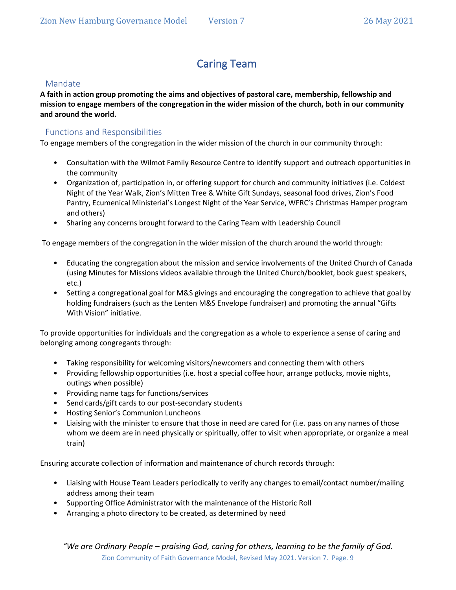# Caring Team

### Mandate

**A faith in action group promoting the aims and objectives of pastoral care, membership, fellowship and mission to engage members of the congregation in the wider mission of the church, both in our community and around the world.** 

# Functions and Responsibilities

To engage members of the congregation in the wider mission of the church in our community through:

- Consultation with the Wilmot Family Resource Centre to identify support and outreach opportunities in the community
- Organization of, participation in, or offering support for church and community initiatives (i.e. Coldest Night of the Year Walk, Zion's Mitten Tree & White Gift Sundays, seasonal food drives, Zion's Food Pantry, Ecumenical Ministerial's Longest Night of the Year Service, WFRC's Christmas Hamper program and others)
- Sharing any concerns brought forward to the Caring Team with Leadership Council

To engage members of the congregation in the wider mission of the church around the world through:

- Educating the congregation about the mission and service involvements of the United Church of Canada (using Minutes for Missions videos available through the United Church/booklet, book guest speakers, etc.)
- Setting a congregational goal for M&S givings and encouraging the congregation to achieve that goal by holding fundraisers (such as the Lenten M&S Envelope fundraiser) and promoting the annual "Gifts With Vision" initiative.

To provide opportunities for individuals and the congregation as a whole to experience a sense of caring and belonging among congregants through:

- Taking responsibility for welcoming visitors/newcomers and connecting them with others
- Providing fellowship opportunities (i.e. host a special coffee hour, arrange potlucks, movie nights, outings when possible)
- Providing name tags for functions/services
- Send cards/gift cards to our post-secondary students
- Hosting Senior's Communion Luncheons
- Liaising with the minister to ensure that those in need are cared for (i.e. pass on any names of those whom we deem are in need physically or spiritually, offer to visit when appropriate, or organize a meal train)

Ensuring accurate collection of information and maintenance of church records through:

- Liaising with House Team Leaders periodically to verify any changes to email/contact number/mailing address among their team
- Supporting Office Administrator with the maintenance of the Historic Roll
- Arranging a photo directory to be created, as determined by need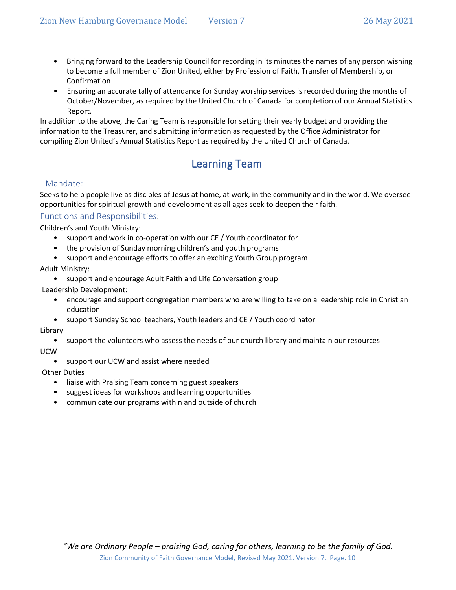- Bringing forward to the Leadership Council for recording in its minutes the names of any person wishing to become a full member of Zion United, either by Profession of Faith, Transfer of Membership, or Confirmation
- Ensuring an accurate tally of attendance for Sunday worship services is recorded during the months of October/November, as required by the United Church of Canada for completion of our Annual Statistics Report.

In addition to the above, the Caring Team is responsible for setting their yearly budget and providing the information to the Treasurer, and submitting information as requested by the Office Administrator for compiling Zion United's Annual Statistics Report as required by the United Church of Canada.

# Learning Team

### Mandate:

Seeks to help people live as disciples of Jesus at home, at work, in the community and in the world. We oversee opportunities for spiritual growth and development as all ages seek to deepen their faith.

#### Functions and Responsibilities:

Children's and Youth Ministry:

- support and work in co-operation with our CE / Youth coordinator for
- the provision of Sunday morning children's and youth programs
- support and encourage efforts to offer an exciting Youth Group program

Adult Ministry:

• support and encourage Adult Faith and Life Conversation group

Leadership Development:

- encourage and support congregation members who are willing to take on a leadership role in Christian education
- support Sunday School teachers, Youth leaders and CE / Youth coordinator

#### Library

• support the volunteers who assess the needs of our church library and maintain our resources

UCW

• support our UCW and assist where needed

Other Duties

- liaise with Praising Team concerning guest speakers
- suggest ideas for workshops and learning opportunities
- communicate our programs within and outside of church